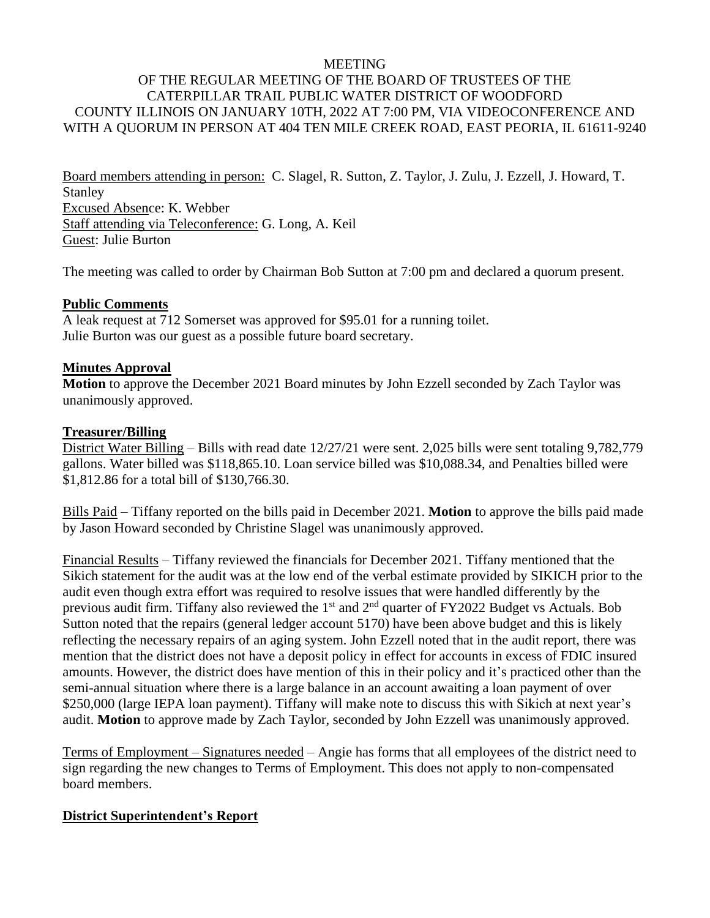#### MEETING

# OF THE REGULAR MEETING OF THE BOARD OF TRUSTEES OF THE CATERPILLAR TRAIL PUBLIC WATER DISTRICT OF WOODFORD COUNTY ILLINOIS ON JANUARY 10TH, 2022 AT 7:00 PM, VIA VIDEOCONFERENCE AND WITH A QUORUM IN PERSON AT 404 TEN MILE CREEK ROAD, EAST PEORIA, IL 61611-9240

Board members attending in person: C. Slagel, R. Sutton, Z. Taylor, J. Zulu, J. Ezzell, J. Howard, T. Stanley Excused Absence: K. Webber Staff attending via Teleconference: G. Long, A. Keil Guest: Julie Burton

The meeting was called to order by Chairman Bob Sutton at 7:00 pm and declared a quorum present.

### **Public Comments**

A leak request at 712 Somerset was approved for \$95.01 for a running toilet. Julie Burton was our guest as a possible future board secretary.

### **Minutes Approval**

**Motion** to approve the December 2021 Board minutes by John Ezzell seconded by Zach Taylor was unanimously approved.

### **Treasurer/Billing**

District Water Billing – Bills with read date 12/27/21 were sent. 2,025 bills were sent totaling 9,782,779 gallons. Water billed was \$118,865.10. Loan service billed was \$10,088.34, and Penalties billed were \$1,812.86 for a total bill of \$130,766.30.

Bills Paid – Tiffany reported on the bills paid in December 2021. **Motion** to approve the bills paid made by Jason Howard seconded by Christine Slagel was unanimously approved.

Financial Results – Tiffany reviewed the financials for December 2021. Tiffany mentioned that the Sikich statement for the audit was at the low end of the verbal estimate provided by SIKICH prior to the audit even though extra effort was required to resolve issues that were handled differently by the previous audit firm. Tiffany also reviewed the 1<sup>st</sup> and 2<sup>nd</sup> quarter of FY2022 Budget vs Actuals. Bob Sutton noted that the repairs (general ledger account 5170) have been above budget and this is likely reflecting the necessary repairs of an aging system. John Ezzell noted that in the audit report, there was mention that the district does not have a deposit policy in effect for accounts in excess of FDIC insured amounts. However, the district does have mention of this in their policy and it's practiced other than the semi-annual situation where there is a large balance in an account awaiting a loan payment of over \$250,000 (large IEPA loan payment). Tiffany will make note to discuss this with Sikich at next year's audit. **Motion** to approve made by Zach Taylor, seconded by John Ezzell was unanimously approved.

Terms of Employment – Signatures needed – Angie has forms that all employees of the district need to sign regarding the new changes to Terms of Employment. This does not apply to non-compensated board members.

# **District Superintendent's Report**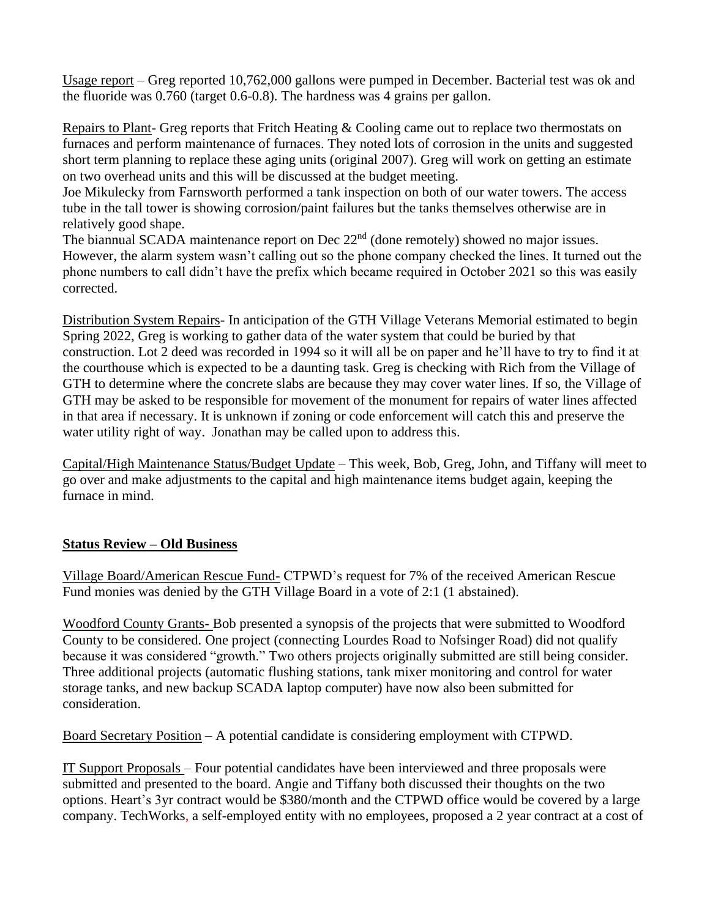Usage report – Greg reported 10,762,000 gallons were pumped in December. Bacterial test was ok and the fluoride was 0.760 (target 0.6-0.8). The hardness was 4 grains per gallon.

Repairs to Plant- Greg reports that Fritch Heating & Cooling came out to replace two thermostats on furnaces and perform maintenance of furnaces. They noted lots of corrosion in the units and suggested short term planning to replace these aging units (original 2007). Greg will work on getting an estimate on two overhead units and this will be discussed at the budget meeting.

Joe Mikulecky from Farnsworth performed a tank inspection on both of our water towers. The access tube in the tall tower is showing corrosion/paint failures but the tanks themselves otherwise are in relatively good shape.

The biannual SCADA maintenance report on Dec  $22<sup>nd</sup>$  (done remotely) showed no major issues. However, the alarm system wasn't calling out so the phone company checked the lines. It turned out the phone numbers to call didn't have the prefix which became required in October 2021 so this was easily corrected.

Distribution System Repairs- In anticipation of the GTH Village Veterans Memorial estimated to begin Spring 2022, Greg is working to gather data of the water system that could be buried by that construction. Lot 2 deed was recorded in 1994 so it will all be on paper and he'll have to try to find it at the courthouse which is expected to be a daunting task. Greg is checking with Rich from the Village of GTH to determine where the concrete slabs are because they may cover water lines. If so, the Village of GTH may be asked to be responsible for movement of the monument for repairs of water lines affected in that area if necessary. It is unknown if zoning or code enforcement will catch this and preserve the water utility right of way. Jonathan may be called upon to address this.

Capital/High Maintenance Status/Budget Update – This week, Bob, Greg, John, and Tiffany will meet to go over and make adjustments to the capital and high maintenance items budget again, keeping the furnace in mind.

# **Status Review – Old Business**

Village Board/American Rescue Fund- CTPWD's request for 7% of the received American Rescue Fund monies was denied by the GTH Village Board in a vote of 2:1 (1 abstained).

Woodford County Grants- Bob presented a synopsis of the projects that were submitted to Woodford County to be considered. One project (connecting Lourdes Road to Nofsinger Road) did not qualify because it was considered "growth." Two others projects originally submitted are still being consider. Three additional projects (automatic flushing stations, tank mixer monitoring and control for water storage tanks, and new backup SCADA laptop computer) have now also been submitted for consideration.

Board Secretary Position – A potential candidate is considering employment with CTPWD.

IT Support Proposals – Four potential candidates have been interviewed and three proposals were submitted and presented to the board. Angie and Tiffany both discussed their thoughts on the two options. Heart's 3yr contract would be \$380/month and the CTPWD office would be covered by a large company. TechWorks, a self-employed entity with no employees, proposed a 2 year contract at a cost of